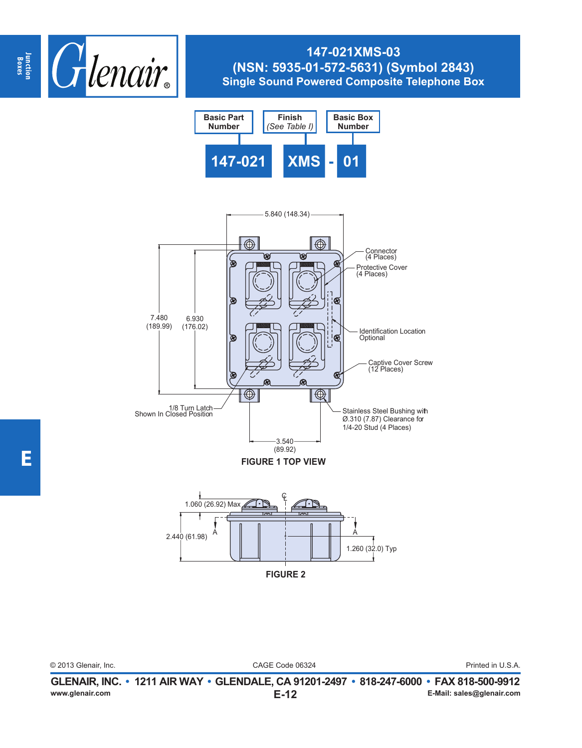

## **147-021XMS-03 (NSN: 5935-01-572-5631) (Symbol 2843) Single Sound Powered Composite Telephone Box**





CAGE Code 06324 © 2013 Glenair, Inc. Printed in U.S.A.